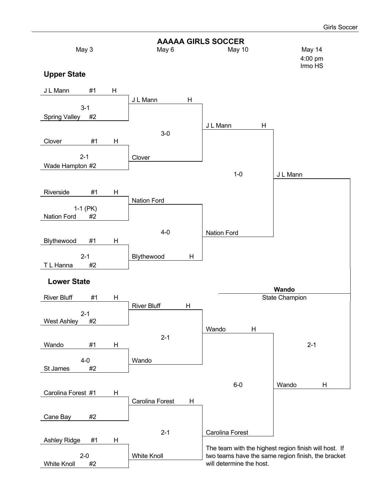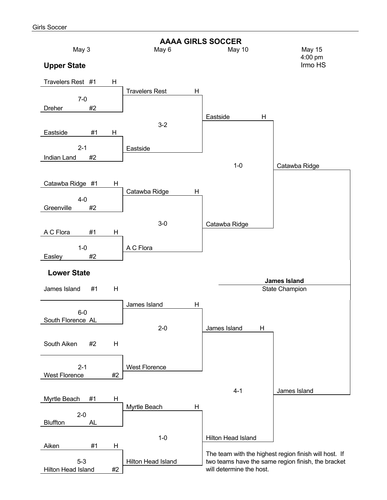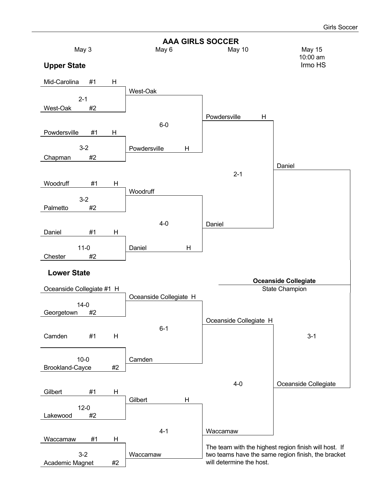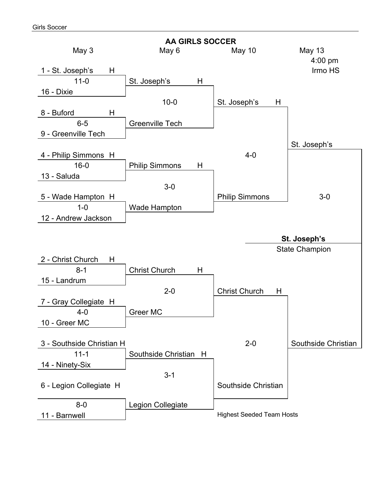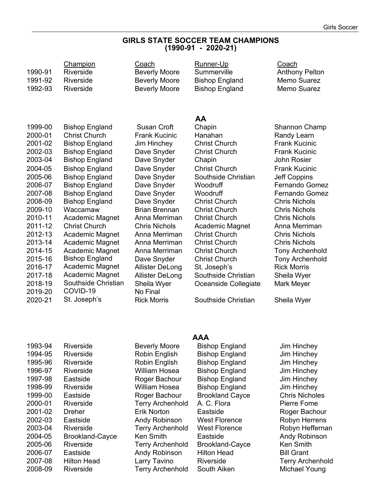#### **GIRLS STATE SOCCER TEAM CHAMPIONS (1990-91 - 2020-21)**

| 1990-91 | Champion<br>Riverside  | Coach<br><b>Beverly Moore</b> | Runner-Up<br>Summerville | Coach<br><b>Anthony Pelton</b> |
|---------|------------------------|-------------------------------|--------------------------|--------------------------------|
| 1991-92 | Riverside              | <b>Beverly Moore</b>          | <b>Bishop England</b>    | Memo Suarez                    |
| 1992-93 | Riverside              | <b>Beverly Moore</b>          | <b>Bishop England</b>    | Memo Suarez                    |
|         |                        |                               |                          |                                |
|         |                        |                               | AA                       |                                |
| 1999-00 | <b>Bishop England</b>  | Susan Croft                   | Chapin                   | Shannon Champ                  |
| 2000-01 | <b>Christ Church</b>   | <b>Frank Kucinic</b>          | Hanahan                  | Randy Learn                    |
| 2001-02 | <b>Bishop England</b>  | Jim Hinchey                   | <b>Christ Church</b>     | <b>Frank Kucinic</b>           |
| 2002-03 | <b>Bishop England</b>  | Dave Snyder                   | <b>Christ Church</b>     | <b>Frank Kucinic</b>           |
| 2003-04 | <b>Bishop England</b>  | Dave Snyder                   | Chapin                   | <b>John Rosier</b>             |
| 2004-05 | <b>Bishop England</b>  | Dave Snyder                   | <b>Christ Church</b>     | <b>Frank Kucinic</b>           |
| 2005-06 | <b>Bishop England</b>  | Dave Snyder                   | Southside Christian      | <b>Jeff Coppins</b>            |
| 2006-07 | <b>Bishop England</b>  | Dave Snyder                   | Woodruff                 | <b>Fernando Gomez</b>          |
| 2007-08 | <b>Bishop England</b>  | Dave Snyder                   | Woodruff                 | <b>Fernando Gomez</b>          |
| 2008-09 | <b>Bishop England</b>  | Dave Snyder                   | <b>Christ Church</b>     | <b>Chris Nichols</b>           |
| 2009-10 | Waccamaw               | <b>Brian Brennan</b>          | <b>Christ Church</b>     | <b>Chris Nichols</b>           |
| 2010-11 | Academic Magnet        | Anna Merriman                 | <b>Christ Church</b>     | <b>Chris Nichols</b>           |
| 2011-12 | <b>Christ Church</b>   | <b>Chris Nichols</b>          | <b>Academic Magnet</b>   | Anna Merriman                  |
| 2012-13 | Academic Magnet        | Anna Merriman                 | <b>Christ Church</b>     | <b>Chris Nichols</b>           |
| 2013-14 | Academic Magnet        | Anna Merriman                 | <b>Christ Church</b>     | <b>Chris Nichols</b>           |
| 2014-15 | <b>Academic Magnet</b> | Anna Merriman                 | <b>Christ Church</b>     | <b>Tony Archenhold</b>         |
| 2015-16 | <b>Bishop England</b>  | Dave Snyder                   | <b>Christ Church</b>     | <b>Tony Archenhold</b>         |
| 2016-17 | Academic Magnet        | <b>Allister DeLong</b>        | St. Joseph's             | <b>Rick Morris</b>             |
| 2017-18 | Academic Magnet        | <b>Allister DeLong</b>        | Southside Christian      | Sheila Wyer                    |
| 2018-19 | Southside Christian    | Sheila Wyer                   | Oceanside Collegiate     | Mark Meyer                     |
| 2019-20 | COVID-19               | No Final                      |                          |                                |
| 2020-21 | St. Joseph's           | <b>Rick Morris</b>            | Southside Christian      | Sheila Wyer                    |
|         |                        |                               |                          |                                |
|         |                        |                               |                          |                                |

| 1993-94 | Riverside     |
|---------|---------------|
| 1994-95 | Riverside     |
| 1995-96 | Riverside     |
| 1996-97 | Riverside     |
| 1997-98 | Eastside      |
| 1998-99 | Riverside     |
| 1999-00 | Eastside      |
| 2000-01 | Riverside     |
| 2001-02 | Dreher        |
| 2002-03 | Eastside      |
| 2003-04 | Riverside     |
| 2004-05 | Brookland-Cay |
| 2005-06 | Riverside     |
| 2006-07 | Eastside      |
| 2007-08 | Hilton Head   |
| 2008-09 | Riverside     |
|         |               |

#### **AAA**

Beverly Moore Bishop England Jim Hinchey Robin English Bishop England Jim Hinchey Robin English Bishop England Jim Hinchey William Hosea Bishop England Jim Hinchey Roger Bachour Bishop England Jim Hinchey William Hosea Bishop England Jim Hinchey Roger Bachour Brookland Cayce Chris Nicholes Terry Archenhold A. C. Flora Pierre Fome Erik Norton Eastside Roger Bachour Andy Robinson West Florence Robyn Herrens Terry Archenhold West Florence Robyn Heffernan <sub>c</sub>e Ken Smith Eastside Andy Robinson Terry Archenhold Brookland-Cayce Ken Smith Andy Robinson Hilton Head Bill Grant Larry Tavino Riverside Terry Archenhold Terry Archenhold South Aiken Michael Young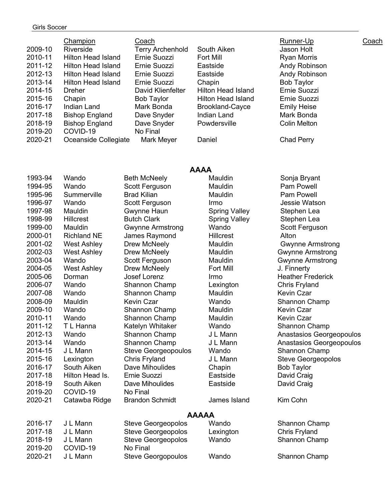#### Girls Soccer

2019-20 COVID-19<br>2020-21 JL Mann

|         | Champion                  | Coach                   |                           | Runner-Up           | Coach |
|---------|---------------------------|-------------------------|---------------------------|---------------------|-------|
| 2009-10 | Riverside                 | <b>Terry Archenhold</b> | South Aiken               | Jason Holt          |       |
| 2010-11 | Hilton Head Island        | Ernie Suozzi            | Fort Mill                 | <b>Ryan Morris</b>  |       |
| 2011-12 | Hilton Head Island        | Ernie Suozzi            | Eastside                  | Andy Robinson       |       |
| 2012-13 | Hilton Head Island        | Ernie Suozzi            | Eastside                  | Andy Robinson       |       |
| 2013-14 | <b>Hilton Head Island</b> | Ernie Suozzi            | Chapin                    | <b>Bob Taylor</b>   |       |
| 2014-15 | Dreher                    | David Klienfelter       | <b>Hilton Head Island</b> | Ernie Suozzi        |       |
| 2015-16 | Chapin                    | <b>Bob Taylor</b>       | Hilton Head Island        | Ernie Suozzi        |       |
| 2016-17 | Indian Land               | Mark Bonda              | Brookland-Cayce           | <b>Emily Heise</b>  |       |
| 2017-18 | <b>Bishop England</b>     | Dave Snyder             | Indian Land               | Mark Bonda          |       |
| 2018-19 | <b>Bishop England</b>     | Dave Snyder             | Powdersville              | <b>Colin Melton</b> |       |
| 2019-20 | COVID-19                  | No Final                |                           |                     |       |
| 2020-21 | Oceanside Collegiate      | Mark Meyer              | Daniel                    | Chad Perry          |       |
|         |                           |                         |                           |                     |       |

|         | <b>AAAA</b>        |                            |                      |                           |  |  |
|---------|--------------------|----------------------------|----------------------|---------------------------|--|--|
| 1993-94 | Wando              | <b>Beth McNeely</b>        | Mauldin              | Sonja Bryant              |  |  |
| 1994-95 | Wando              | Scott Ferguson             | Mauldin              | Pam Powell                |  |  |
| 1995-96 | Summerville        | <b>Brad Kilian</b>         | Mauldin              | <b>Pam Powell</b>         |  |  |
| 1996-97 | Wando              | Scott Ferguson             | Irmo                 | Jessie Watson             |  |  |
| 1997-98 | Mauldin            | Gwynne Haun                | <b>Spring Valley</b> | Stephen Lea               |  |  |
| 1998-99 | <b>Hillcrest</b>   | <b>Butch Clark</b>         | <b>Spring Valley</b> | Stephen Lea               |  |  |
| 1999-00 | Mauldin            | <b>Gwynne Armstrong</b>    | Wando                | Scott Ferguson            |  |  |
| 2000-01 | <b>Richland NE</b> | James Raymond              | <b>Hillcrest</b>     | Alton                     |  |  |
| 2001-02 | <b>West Ashley</b> | Drew McNeely               | Mauldin              | <b>Gwynne Armstrong</b>   |  |  |
| 2002-03 | <b>West Ashley</b> | Drew McNeely               | Mauldin              | <b>Gwynne Armstrong</b>   |  |  |
| 2003-04 | Wando              | Scott Ferguson             | Mauldin              | <b>Gwynne Armstrong</b>   |  |  |
| 2004-05 | <b>West Ashley</b> | Drew McNeely               | <b>Fort Mill</b>     | J. Finnerty               |  |  |
| 2005-06 | Dorman             | Josef Lorenz               | Irmo                 | <b>Heather Frederick</b>  |  |  |
| 2006-07 | Wando              | Shannon Champ              | Lexington            | <b>Chris Fryland</b>      |  |  |
| 2007-08 | Wando              | Shannon Champ              | Mauldin              | <b>Kevin Czar</b>         |  |  |
| 2008-09 | Mauldin            | <b>Kevin Czar</b>          | Wando                | Shannon Champ             |  |  |
| 2009-10 | Wando              | Shannon Champ              | Mauldin              | Kevin Czar                |  |  |
| 2010-11 | Wando              | Shannon Champ              | Mauldin              | <b>Kevin Czar</b>         |  |  |
| 2011-12 | T L Hanna          | Katelyn Whitaker           | Wando                | <b>Shannon Champ</b>      |  |  |
| 2012-13 | Wando              | Shannon Champ              | J L Mann             | Anastasios Georgeopoulos  |  |  |
| 2013-14 | Wando              | Shannon Champ              | J L Mann             | Anastasios Georgeopoulos  |  |  |
| 2014-15 | J L Mann           | <b>Steve Georgeopoulos</b> | Wando                | Shannon Champ             |  |  |
| 2015-16 | Lexington          | <b>Chris Fryland</b>       | J L Mann             | <b>Steve Georgeopolos</b> |  |  |
| 2016-17 | South Aiken        | Dave Mihoulides            | Chapin               | <b>Bob Taylor</b>         |  |  |
| 2017-18 | Hilton Head Is.    | Ernie Suozzi               | Eastside             | David Craig               |  |  |
| 2018-19 | South Aiken        | Dave Mihoulides            | Eastside             | David Craig               |  |  |
| 2019-20 | COVID-19           | No Final                   |                      |                           |  |  |
| 2020-21 | Catawba Ridge      | <b>Brandon Schmidt</b>     | James Island         | Kim Cohn                  |  |  |
|         |                    |                            | <b>AAAAA</b>         |                           |  |  |
| 2016-17 | J L Mann           | <b>Steve Georgeopolos</b>  | Wando                | Shannon Champ             |  |  |
| 2017-18 | J L Mann           | <b>Steve Georgeopolos</b>  | Lexington            | <b>Chris Fryland</b>      |  |  |
| 2018-19 | J L Mann           | Steve Georgeopolos         | Wando                | Shannon Champ             |  |  |
| 2019-20 | COVID-19           | No Final                   |                      |                           |  |  |

Steve Georgopoulos Wando Shannon Champ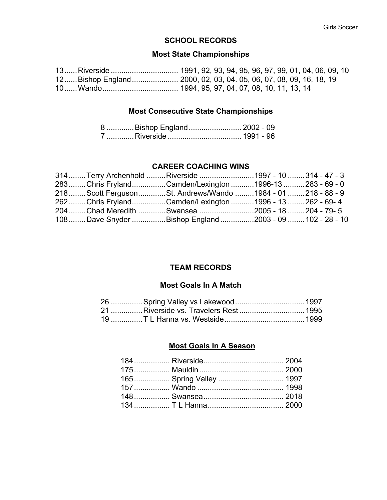## **SCHOOL RECORDS**

## **Most State Championships**

#### **Most Consecutive State Championships**

| 8 Bishop England  2002 - 09 |  |
|-----------------------------|--|
|                             |  |

#### **CAREER COACHING WINS**

| 314  Terry Archenhold Riverside 1997 - 10 314 - 47 - 3          |  |  |
|-----------------------------------------------------------------|--|--|
| 283  Chris Fryland Camden/Lexington 1996-13 283 - 69 - 0        |  |  |
| 218  Scott Ferguson  St. Andrews/Wando  1984 - 01  218 - 88 - 9 |  |  |
| 262Chris FrylandCamden/Lexington1996 - 13262 - 69-4             |  |  |
| 204 Chad Meredith Swansea 2005 - 18 204 - 79- 5                 |  |  |
| 108 Dave Snyder Bishop England 2003 - 09  102 - 28 - 10         |  |  |

#### **TEAM RECORDS**

#### **Most Goals In A Match**

| 21 Riverside vs. Travelers Rest  1995 |  |
|---------------------------------------|--|
|                                       |  |

#### **Most Goals In A Season**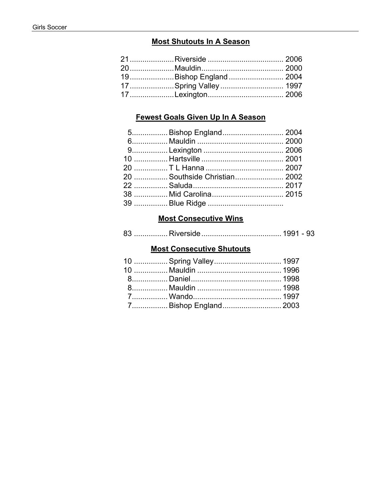## **Most Shutouts In A Season**

| 19Bishop England 2004 |  |
|-----------------------|--|
| 17Spring Valley 1997  |  |
|                       |  |

## **Fewest Goals Given Up In A Season**

| 5 Bishop England 2004        |  |
|------------------------------|--|
|                              |  |
|                              |  |
|                              |  |
|                              |  |
| 20  Southside Christian 2002 |  |
|                              |  |
|                              |  |
|                              |  |

# **Most Consecutive Wins**

|--|--|--|

# **Most Consecutive Shutouts**

| 7 Bishop England 2003 |  |
|-----------------------|--|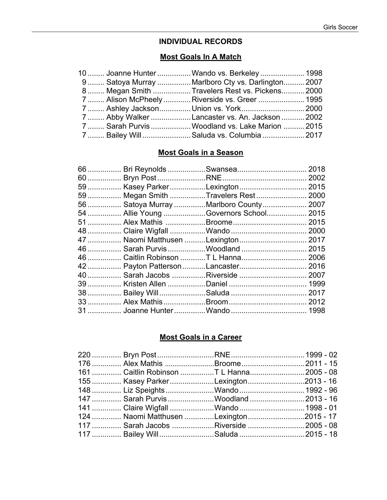## **INDIVIDUAL RECORDS**

#### **Most Goals In A Match**

| 10  Joanne Hunter  Wando vs. Berkeley  1998       |  |
|---------------------------------------------------|--|
| 9 Satoya Murray  Marlboro Cty vs. Darlington 2007 |  |
| 8 Megan Smith  Travelers Rest vs. Pickens 2000    |  |
| 7  Alison McPheely  Riverside vs. Greer  1995     |  |
| 7  Ashley Jackson Union vs. York 2000             |  |
| 7  Abby Walker Lancaster vs. An. Jackson  2002    |  |
| 7  Sarah Purvis  Woodland vs. Lake Marion  2015   |  |
| 7  Bailey Will Saluda vs. Columbia  2017          |  |

## **Most Goals in a Season**

|  | 59  Kasey Parker Lexington  2015        |  |
|--|-----------------------------------------|--|
|  | 59  Megan Smith Travelers Rest  2000    |  |
|  | 56  Satoya Murray Marlboro County  2007 |  |
|  | 54  Allie Young Governors School 2015   |  |
|  |                                         |  |
|  |                                         |  |
|  | 47  Naomi Matthusen Lexington  2017     |  |
|  | 46  Sarah Purvis Woodland  2015         |  |
|  | 46  Caitlin Robinson T L Hanna 2006     |  |
|  | 42  Payton Patterson Lancaster 2016     |  |
|  | 40  Sarah Jacobs Riverside  2007        |  |
|  |                                         |  |
|  |                                         |  |
|  |                                         |  |
|  |                                         |  |

## **Most Goals in a Career**

| 176  Alex Mathis Broome2011 - 15         |  |
|------------------------------------------|--|
| 161  Caitlin Robinson T L Hanna2005 - 08 |  |
| 155  Kasey Parker Lexington2013 - 16     |  |
| 148  Liz Speights Wando  1992 - 96       |  |
| 147  Sarah Purvis Woodland 2013 - 16     |  |
| 141  Claire Wigfall Wando  1998 - 01     |  |
| 124  Naomi Matthusen Lexington2015 - 17  |  |
| 117  Sarah Jacobs Riverside 2005 - 08    |  |
| 117  Bailey Will Saluda 2015 - 18        |  |
|                                          |  |